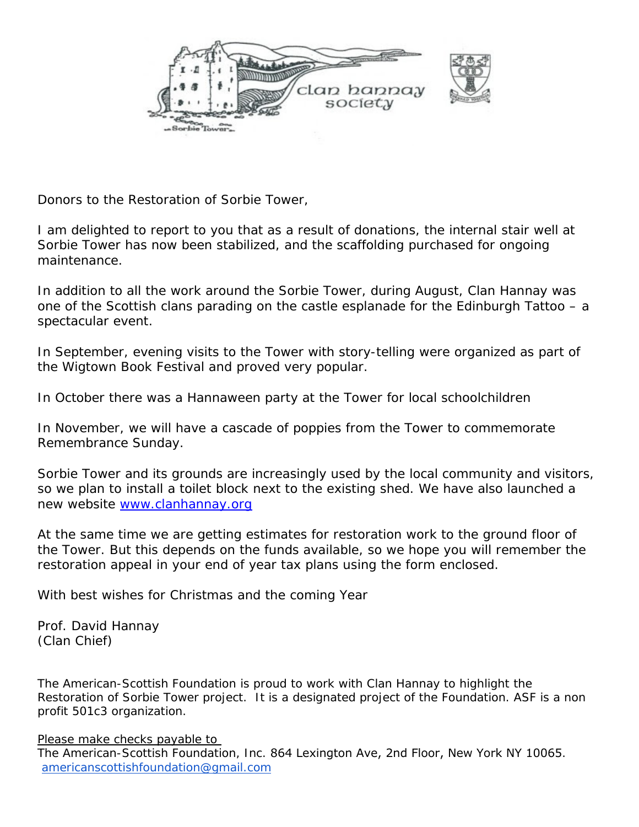

Donors to the Restoration of Sorbie Tower,

I am delighted to report to you that as a result of donations, the internal stair well at Sorbie Tower has now been stabilized, and the scaffolding purchased for ongoing maintenance.

In addition to all the work around the Sorbie Tower, during August, Clan Hannay was one of the Scottish clans parading on the castle esplanade for the Edinburgh Tattoo – a spectacular event.

In September, evening visits to the Tower with story-telling were organized as part of the Wigtown Book Festival and proved very popular.

In October there was a Hannaween party at the Tower for local schoolchildren

In November, we will have a cascade of poppies from the Tower to commemorate Remembrance Sunday.

Sorbie Tower and its grounds are increasingly used by the local community and visitors, so we plan to install a toilet block next to the existing shed. We have also launched a new website [www.clanhannay.org](http://www.clanhannay.org/)

At the same time we are getting estimates for restoration work to the ground floor of the Tower. But this depends on the funds available, so we hope you will remember the restoration appeal in your end of year tax plans using the form enclosed.

With best wishes for Christmas and the coming Year

Prof. David Hannay (Clan Chief)

The American-Scottish Foundation is proud to work with Clan Hannay to highlight the Restoration of Sorbie Tower project. It is a designated project of the Foundation. ASF is a non profit 501c3 organization.

Please make checks payable to

The American-Scottish Foundation, Inc. 864 Lexington Ave, 2nd Floor, New York NY 10065. americanscottishfoundation@gm[ail.com](mailto:e.americanscottishfoundation@gmail.com)